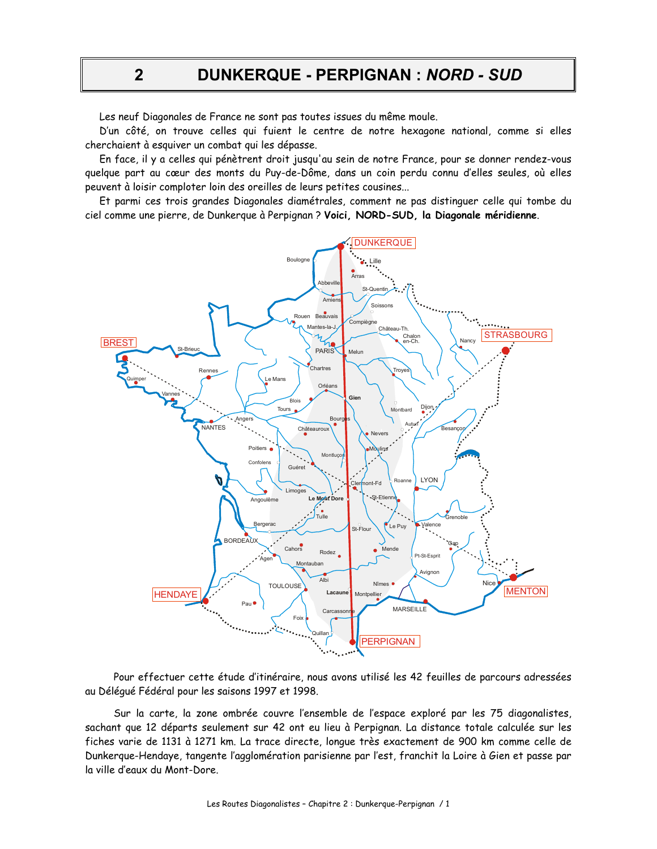DUNKERQUE - PERPIGNAN : NORD - SUD

Les neuf Diagonales de France ne sont pas toutes issues du même moule.

D'un côté, on trouve celles qui fuient le centre de notre hexagone national, comme si elles cherchaient à esquiver un combat qui les dépasse.

En face, il y a celles qui pénètrent droit jusqu'au sein de notre France, pour se donner rendez-vous quelque part au cœur des monts du Puy-de-Dôme, dans un coin perdu connu d'elles seules, où elles peuvent à loisir comploter loin des oreilles de leurs petites cousines...

Et parmi ces trois grandes Diagonales diamétrales, comment ne pas distinguer celle qui tombe du ciel comme une pierre, de Dunkerque à Perpignan ? Voici, NORD-SUD, la Diagonale méridienne.



Pour effectuer cette étude d'itinéraire, nous avons utilisé les 42 feuilles de parcours adressées au Déléqué Fédéral pour les saisons 1997 et 1998.

Sur la carte, la zone ombrée couvre l'ensemble de l'espace exploré par les 75 diagonalistes, sachant que 12 départs seulement sur 42 ont eu lieu à Perpignan. La distance totale calculée sur les fiches varie de 1131 à 1271 km. La trace directe, longue très exactement de 900 km comme celle de Dunkerque-Hendaye, tangente l'agglomération parisienne par l'est, franchit la Loire à Gien et passe par la ville d'eaux du Mont-Dore.

 $\overline{2}$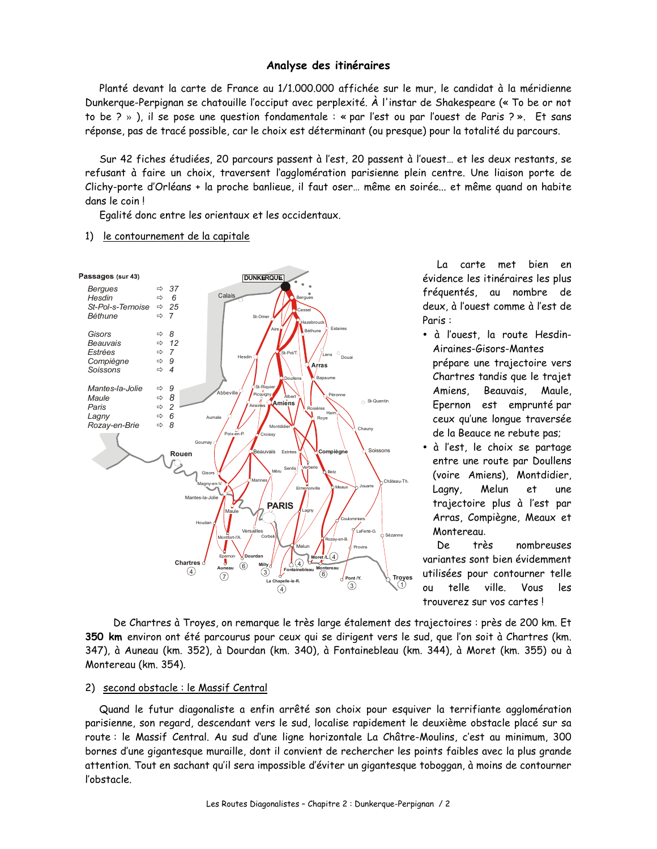## Analyse des itinéraires

Planté devant la carte de France au 1/1.000.000 affichée sur le mur, le candidat à la méridienne Dunkerque-Perpignan se chatouille l'occiput avec perplexité. À l'instar de Shakespeare (« To be or not to be ? » ), il se pose une question fondamentale : « par l'est ou par l'ouest de Paris ? ». Et sans réponse, pas de tracé possible, car le choix est déterminant (ou presque) pour la totalité du parcours.

Sur 42 fiches étudiées, 20 parcours passent à l'est, 20 passent à l'ouest... et les deux restants, se refusant à faire un choix, traversent l'agglomération parisienne plein centre. Une liaison porte de Clichy-porte d'Orléans + la proche banlieue, il faut oser... même en soirée... et même quand on habite dans le coin!

Egalité donc entre les orientaux et les occidentaux.

## 1) le contournement de la capitale



La carte met bien en évidence les itinéraires les plus fréquentés, au nombre de deux, à l'ouest comme à l'est de Paris:

- · à l'ouest, la route Hesdin-Airaines-Gisors-Mantes prépare une trajectoire vers Chartres tandis que le trajet Amiens, Beauvais, Maule, Epernon est emprunté par ceux qu'une lonque traversée de la Beauce ne rebute pas;
- · à l'est, le choix se partage entre une route par Doullens (voire Amiens). Montdidier. Lagny, Melun et une trajectoire plus à l'est par Arras, Compiègne, Meaux et Montereau.

De très nombreuses variantes sont bien évidemment utilisées pour contourner telle  $_{\text{o}U}$ telle ville. Vous les trouverez sur vos cartes !

De Chartres à Troyes, on remarque le très large étalement des trajectoires : près de 200 km. Et 350 km environ ont été parcourus pour ceux qui se dirigent vers le sud, que l'on soit à Chartres (km. 347), à Auneau (km. 352), à Dourdan (km. 340), à Fontainebleau (km. 344), à Moret (km. 355) ou à Montereau (km. 354).

### 2) second obstacle : le Massif Central

Quand le futur diagonaliste a enfin arrêté son choix pour esquiver la terrifiante agglomération parisienne, son regard, descendant vers le sud, localise rapidement le deuxième obstacle placé sur sa route: le Massif Central. Au sud d'une ligne horizontale La Châtre-Moulins, c'est au minimum, 300 bornes d'une gigantesque muraille, dont il convient de rechercher les points faibles avec la plus grande attention. Tout en sachant qu'il sera impossible d'éviter un gigantesque toboggan, à moins de contourner l'obstacle.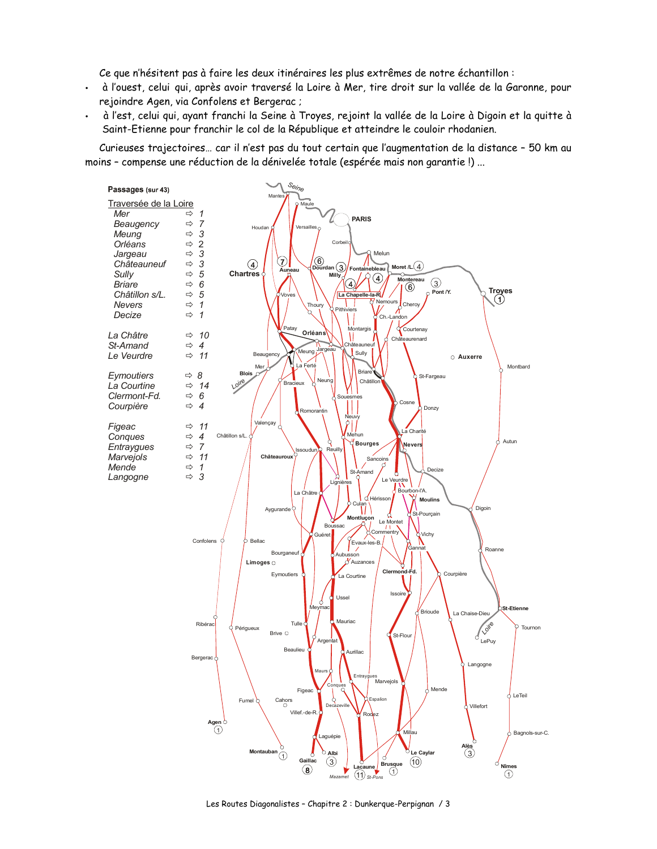Ce que n'hésitent pas à faire les deux itinéraires les plus extrêmes de notre échantillon :

- à l'ouest, celui qui, après avoir traversé la Loire à Mer, tire droit sur la vallée de la Garonne, pour  $\ddot{\phantom{0}}$ rejoindre Agen, via Confolens et Bergerac;
- à l'est, celui qui, ayant franchi la Seine à Troyes, rejoint la vallée de la Loire à Digoin et la quitte à  $\bullet$  . Saint-Etienne pour franchir le col de la République et atteindre le couloir rhodanien.

Curieuses trajectoires... car il n'est pas du tout certain que l'augmentation de la distance - 50 km au moins - compense une réduction de la dénivelée totale (espérée mais non garantie !) ...



Les Routes Diagonalistes - Chapitre 2 : Dunkergue-Perpignan / 3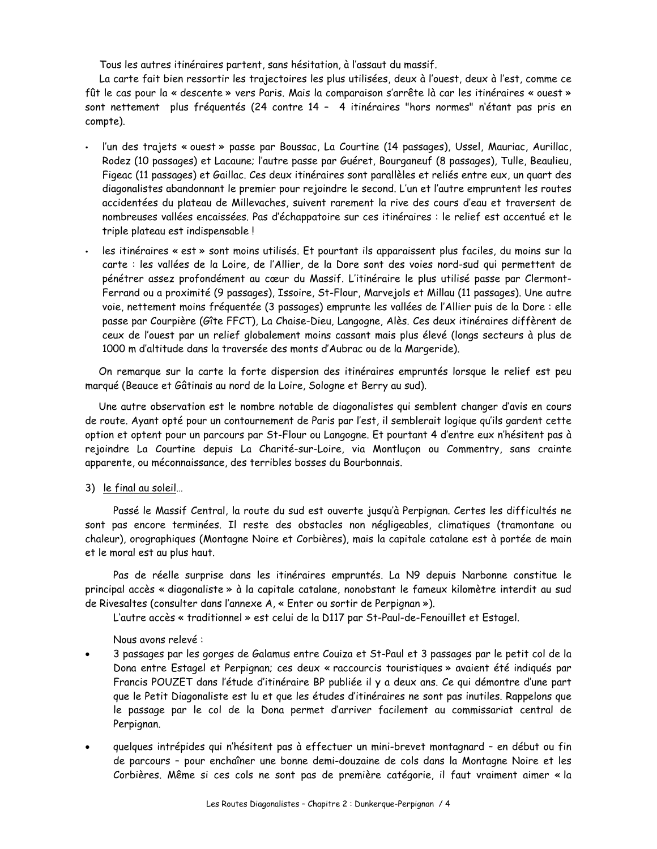Tous les autres itinéraires partent, sans hésitation, à l'assaut du massif.

La carte fait bien ressortir les trajectoires les plus utilisées, deux à l'ouest, deux à l'est, comme ce fût le cas pour la « descente » vers Paris. Mais la comparaison s'arrête là car les itinéraires « ouest » sont nettement plus fréquentés (24 contre 14 - 4 itinéraires "hors normes" n'étant pas pris en compte).

- l'un des trajets « ouest » passe par Boussac, La Courtine (14 passages), Ussel, Mauriac, Aurillac, Rodez (10 passages) et Lacaune; l'autre passe par Guéret, Bourganeuf (8 passages), Tulle, Beaulieu, Figeac (11 passages) et Gaillac. Ces deux itinéraires sont parallèles et reliés entre eux, un quart des diagonalistes abandonnant le premier pour rejoindre le second. L'un et l'autre empruntent les routes accidentées du plateau de Millevaches, suivent rarement la rive des cours d'eau et traversent de nombreuses vallées encaissées. Pas d'échappatoire sur ces itinéraires : le relief est accentué et le triple plateau est indispensable !
- les itinéraires « est » sont moins utilisés. Et pourtant ils apparaissent plus faciles, du moins sur la carte : les vallées de la Loire, de l'Allier, de la Dore sont des voies nord-sud qui permettent de pénétrer assez profondément au cœur du Massif. L'itinéraire le plus utilisé passe par Clermont-Ferrand ou a proximité (9 passages), Issoire, St-Flour, Marvejols et Millau (11 passages). Une autre voie, nettement moins fréquentée (3 passages) emprunte les vallées de l'Allier puis de la Dore : elle passe par Courpière (Gîte FFCT), La Chaise-Dieu, Langogne, Alès. Ces deux itinéraires diffèrent de ceux de l'ouest par un relief globalement moins cassant mais plus élevé (longs secteurs à plus de 1000 m d'altitude dans la traversée des monts d'Aubrac ou de la Margeride).

On remarque sur la carte la forte dispersion des itinéraires empruntés lorsque le relief est peu marqué (Beauce et Gâtinais au nord de la Loire, Sologne et Berry au sud).

Une autre observation est le nombre notable de diagonalistes qui semblent changer d'avis en cours de route. Ayant opté pour un contournement de Paris par l'est, il semblerait logique qu'ils gardent cette option et optent pour un parcours par St-Flour ou Langogne. Et pourtant 4 d'entre eux n'hésitent pas à rejoindre La Courtine depuis La Charité-sur-Loire, via Montluçon ou Commentry, sans crainte apparente, ou méconnaissance, des terribles bosses du Bourbonnais.

3) le final au soleil...

Passé le Massif Central, la route du sud est ouverte jusqu'à Perpignan. Certes les difficultés ne sont pas encore terminées. Il reste des obstacles non négligeables, climatiques (tramontane ou chaleur), orographiques (Montagne Noire et Corbières), mais la capitale catalane est à portée de main et le moral est au plus haut.

Pas de réelle surprise dans les itinéraires empruntés. La N9 depuis Narbonne constitue le principal accès « diagonaliste » à la capitale catalane, nonobstant le fameux kilomètre interdit au sud de Rivesaltes (consulter dans l'annexe A, « Enter ou sortir de Perpignan »).

L'autre accès « traditionnel » est celui de la D117 par St-Paul-de-Fenouillet et Estagel.

Nous avons relevé :

- 3 passages par les gorges de Galamus entre Couiza et St-Paul et 3 passages par le petit col de la Dona entre Estagel et Perpignan; ces deux « raccourcis touristiques » avaient été indiqués par Francis POUZET dans l'étude d'itinéraire BP publiée il y a deux ans. Ce qui démontre d'une part que le Petit Diagonaliste est lu et que les études d'itinéraires ne sont pas inutiles. Rappelons que le passage par le col de la Dona permet d'arriver facilement au commissariat central de Perpignan.
- quelques intrépides qui n'hésitent pas à effectuer un mini-brevet montagnard en début ou fin de parcours - pour enchaîner une bonne demi-douzaine de cols dans la Montagne Noire et les Corbières. Même si ces cols ne sont pas de première catégorie, il faut vraiment aimer « la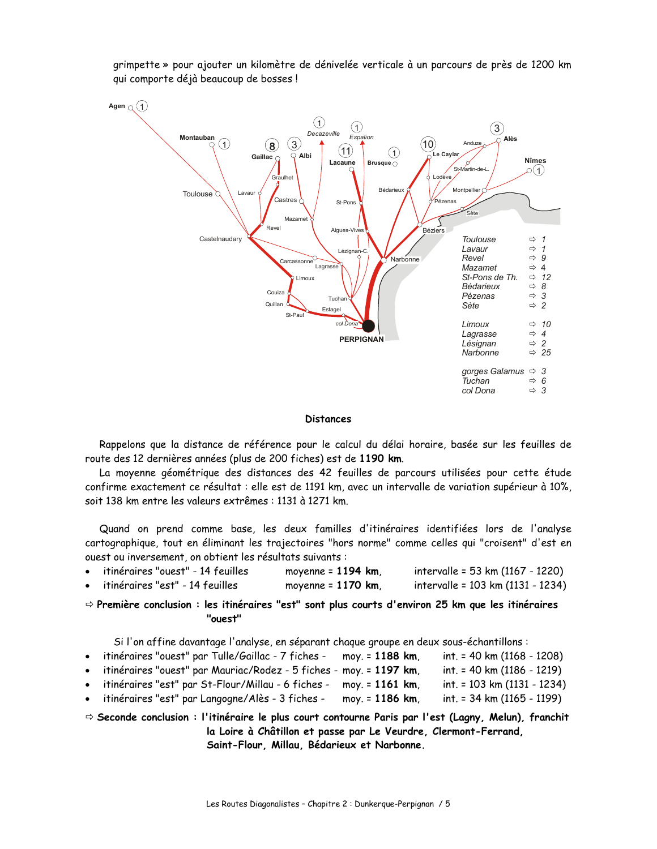

grimpette » pour ajouter un kilomètre de dénivelée verticale à un parcours de près de 1200 km qui comporte déjà beaucoup de bosses!

## **Distances**

Rappelons que la distance de référence pour le calcul du délai horaire, basée sur les feuilles de route des 12 dernières années (plus de 200 fiches) est de 1190 km.

La moyenne géométrique des distances des 42 feuilles de parcours utilisées pour cette étude confirme exactement ce résultat : elle est de 1191 km, avec un intervalle de variation supérieur à 10%, soit 138 km entre les valeurs extrêmes : 1131 à 1271 km.

Quand on prend comme base, les deux familles d'itinéraires identifiées lors de l'analyse cartographique, tout en éliminant les trajectoires "hors norme" comme celles qui "croisent" d'est en ouest ou inversement, on obtient les résultats suivants :

| itinéraires "ouest" - 14 feuilles | moyenne = 1194 km, | intervalle = 53 km (1167 - 1220)  |
|-----------------------------------|--------------------|-----------------------------------|
| itinéraires "est" - 14 feuilles   | moyenne = 1170 km, | intervalle = 103 km (1131 - 1234) |

 $\Rightarrow$  Première conclusion : les itinéraires "est" sont plus courts d'environ 25 km que les itinéraires "ouest"

Si l'on affine davantage l'analyse, en séparant chaque groupe en deux sous-échantillons :

| • itinéraires "ouest" par Tulle/Gaillac - 7 fiches - moy. = 1188 km, |                 | $int. = 40$ km $(1168 - 1208)$ |
|----------------------------------------------------------------------|-----------------|--------------------------------|
| • itinéraires "ouest" par Mauriac/Rodez - 5 fiches - moy. = 1197 km, |                 | int. = 40 km (1186 - 1219)     |
| · itinéraires "est" par St-Flour/Millau - 6 fiches - moy. = 1161 km, |                 | int. = 103 km (1131 - 1234)    |
| · itinéraires "est" par Langogne/Alès - 3 fiches -                   | moy. = 1186 km. | int. = 34 km (1165 - 1199)     |

 $\Rightarrow$  Seconde conclusion : l'itinéraire le plus court contourne Paris par l'est (Lagny, Melun), franchit la Loire à Châtillon et passe par Le Veurdre, Clermont-Ferrand, Saint-Flour, Millau, Bédarieux et Narbonne.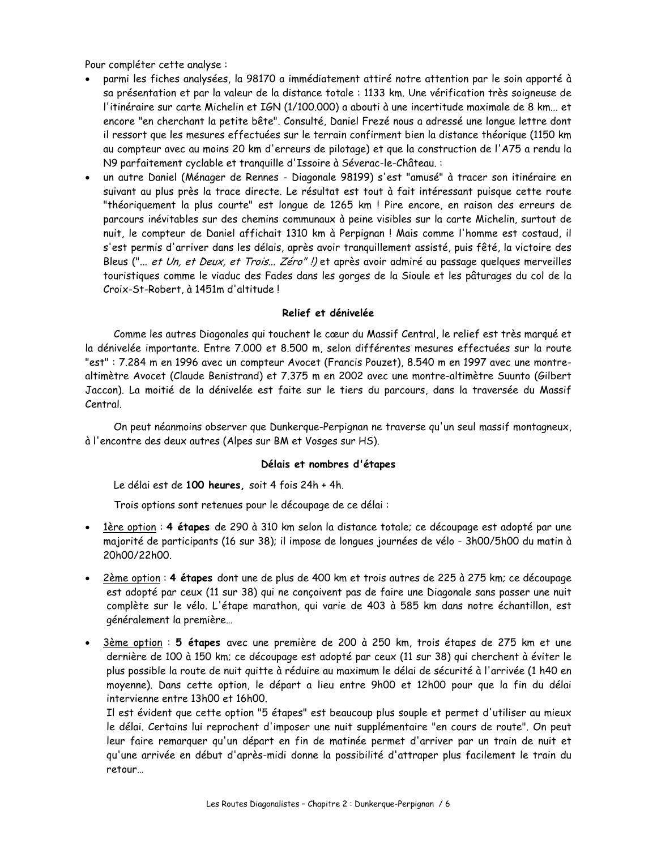Pour compléter cette analyse :

- parmi les fiches analysées, la 98170 a immédiatement attiré notre attention par le soin apporté à sa présentation et par la valeur de la distance totale : 1133 km. Une vérification très soigneuse de l'itinéraire sur carte Michelin et IGN (1/100.000) a abouti à une incertitude maximale de 8 km... et encore "en cherchant la petite bête". Consulté, Daniel Frezé nous a adressé une longue lettre dont il ressort que les mesures effectuées sur le terrain confirment bien la distance théorique (1150 km au compteur avec au moins 20 km d'erreurs de pilotage) et que la construction de l'A75 a rendu la N9 parfaitement cyclable et tranquille d'Issoire à Séverac-le-Château.:
- un autre Daniel (Ménager de Rennes Diagonale 98199) s'est "amusé" à tracer son itinéraire en suivant au plus près la trace directe. Le résultat est tout à fait intéressant puisque cette route "théoriquement la plus courte" est longue de 1265 km ! Pire encore, en raison des erreurs de parcours inévitables sur des chemins communaux à peine visibles sur la carte Michelin, surtout de nuit, le compteur de Daniel affichait 1310 km à Perpignan ! Mais comme l'homme est costaud, il s'est permis d'arriver dans les délais, après avoir tranquillement assisté, puis fêté, la victoire des Bleus ("... et Un, et Deux, et Trois... Zéro"!) et après avoir admiré au passage quelques merveilles touristiques comme le viaduc des Fades dans les gorges de la Sioule et les pâturages du col de la Croix-St-Robert, à 1451m d'altitude!

## Relief et dénivelée

Comme les autres Diagonales qui touchent le cœur du Massif Central, le relief est très marqué et la dénivelée importante. Entre 7.000 et 8.500 m, selon différentes mesures effectuées sur la route "est": 7.284 m en 1996 avec un compteur Avocet (Francis Pouzet), 8.540 m en 1997 avec une montrealtimètre Avocet (Claude Benistrand) et 7.375 m en 2002 avec une montre-altimètre Suunto (Gilbert Jaccon). La moitié de la dénivelée est faite sur le tiers du parcours, dans la traversée du Massif Central.

On peut néanmoins observer que Dunkerque-Perpignan ne traverse qu'un seul massif montagneux, à l'encontre des deux autres (Alpes sur BM et Vosges sur HS).

# Délais et nombres d'étapes

Le délai est de 100 heures, soit 4 fois 24h + 4h.

Trois options sont retenues pour le découpage de ce délai :

- · 1ère option : 4 étapes de 290 à 310 km selon la distance totale; ce découpage est adopté par une majorité de participants (16 sur 38); il impose de longues journées de vélo - 3h00/5h00 du matin à 20h00/22h00.
- 2ème option : 4 étapes dont une de plus de 400 km et trois autres de 225 à 275 km; ce découpage est adopté par ceux (11 sur 38) qui ne conçoivent pas de faire une Diagonale sans passer une nuit complète sur le vélo. L'étape marathon, qui varie de 403 à 585 km dans notre échantillon, est généralement la première...
- 3ème option : 5 étapes avec une première de 200 à 250 km, trois étapes de 275 km et une dernière de 100 à 150 km; ce découpage est adopté par ceux (11 sur 38) qui cherchent à éviter le plus possible la route de nuit quitte à réduire au maximum le délai de sécurité à l'arrivée (1 h40 en moyenne). Dans cette option, le départ a lieu entre 9h00 et 12h00 pour que la fin du délai intervienne entre 13h00 et 16h00.

Il est évident que cette option "5 étapes" est beaucoup plus souple et permet d'utiliser au mieux le délai. Certains lui reprochent d'imposer une nuit supplémentaire "en cours de route". On peut leur faire remarquer qu'un départ en fin de matinée permet d'arriver par un train de nuit et qu'une arrivée en début d'après-midi donne la possibilité d'attraper plus facilement le train du retour...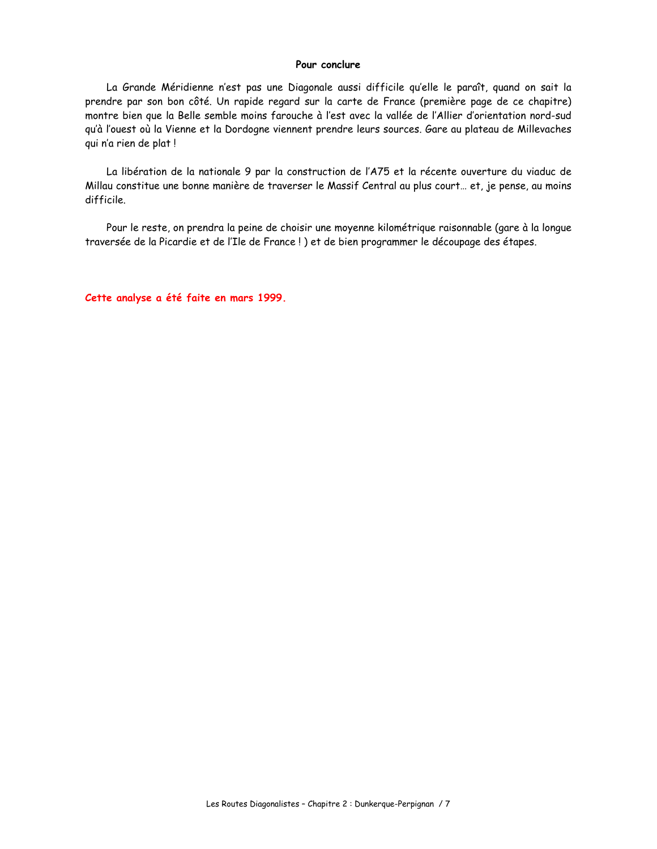### Pour conclure

La Grande Méridienne n'est pas une Diagonale aussi difficile qu'elle le paraît, quand on sait la prendre par son bon côté. Un rapide regard sur la carte de France (première page de ce chapitre) montre bien que la Belle semble moins farouche à l'est avec la vallée de l'Allier d'orientation nord-sud qu'à l'ouest où la Vienne et la Dordogne viennent prendre leurs sources. Gare au plateau de Millevaches qui n'a rien de plat!

La libération de la nationale 9 par la construction de l'A75 et la récente ouverture du viaduc de Millau constitue une bonne manière de traverser le Massif Central au plus court... et, je pense, au moins difficile.

Pour le reste, on prendra la peine de choisir une moyenne kilométrique raisonnable (gare à la longue traversée de la Picardie et de l'Ile de France!) et de bien programmer le découpage des étapes.

Cette analyse a été faite en mars 1999.